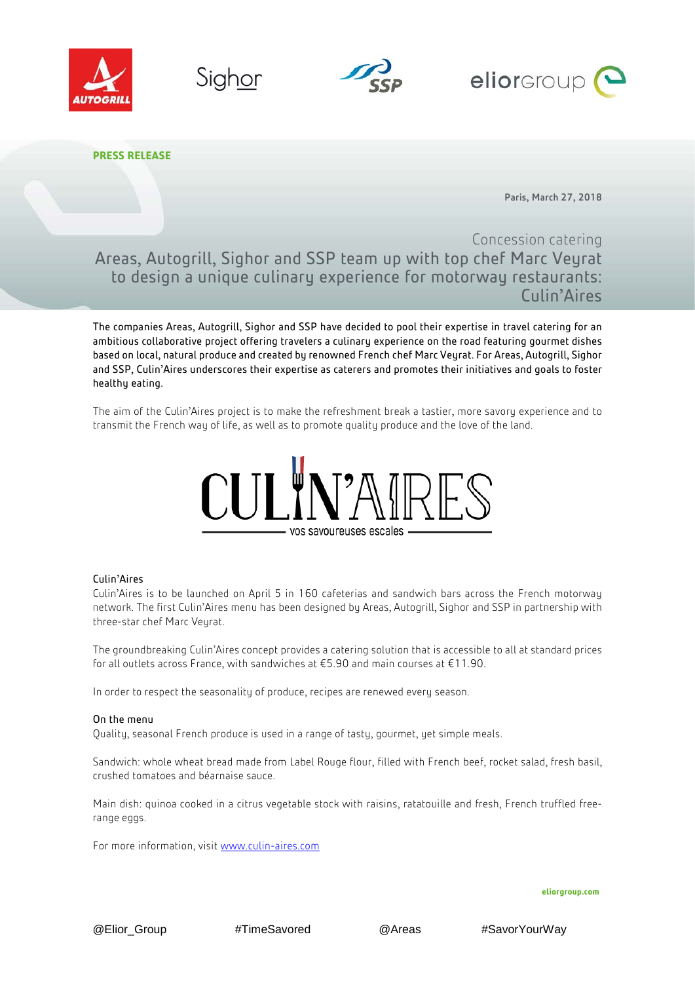







**PRESS RELEASE**

Paris, March 27, 2018

# Concession catering

Areas, Autogrill, Sighor and SSP team up with top chef Marc Veyrat to design a unique culinary experience for motorway restaurants: Culin'Aires

The companies Areas, Autogrill, Sighor and SSP have decided to pool their expertise in travel catering for an ambitious collaborative project offering travelers a culinary experience on the road featuring gourmet dishes based on local, natural produce and created by renowned French chef Marc Veyrat. For Areas, Autogrill, Sighor and SSP, Culin'Aires underscores their expertise as caterers and promotes their initiatives and goals to foster healthy eating.

The aim of the Culin'Aires project is to make the refreshment break a tastier, more savory experience and to transmit the French way of life, as well as to promote quality produce and the love of the land.



# Culin'Aires

Culin'Aires is to be launched on April 5 in 160 cafeterias and sandwich bars across the French motorway network. The first Culin'Aires menu has been designed by Areas, Autogrill, Sighor and SSP in partnership with three-star chef Marc Veyrat.

The groundbreaking Culin'Aires concept provides a catering solution that is accessible to all at standard prices for all outlets across France, with sandwiches at €5.90 and main courses at €11.90.

In order to respect the seasonality of produce, recipes are renewed every season.

# On the menu

Quality, seasonal French produce is used in a range of tasty, gourmet, yet simple meals.

Sandwich: whole wheat bread made from Label Rouge flour, filled with French beef, rocket salad, fresh basil, crushed tomatoes and béarnaise sauce.

Main dish: quinoa cooked in a citrus vegetable stock with raisins, ratatouille and fresh, French truffled freerange eggs.

For more information, visit [www.culin-aires.com](http://www.culin-aires.com/)

**eliorgroup.com**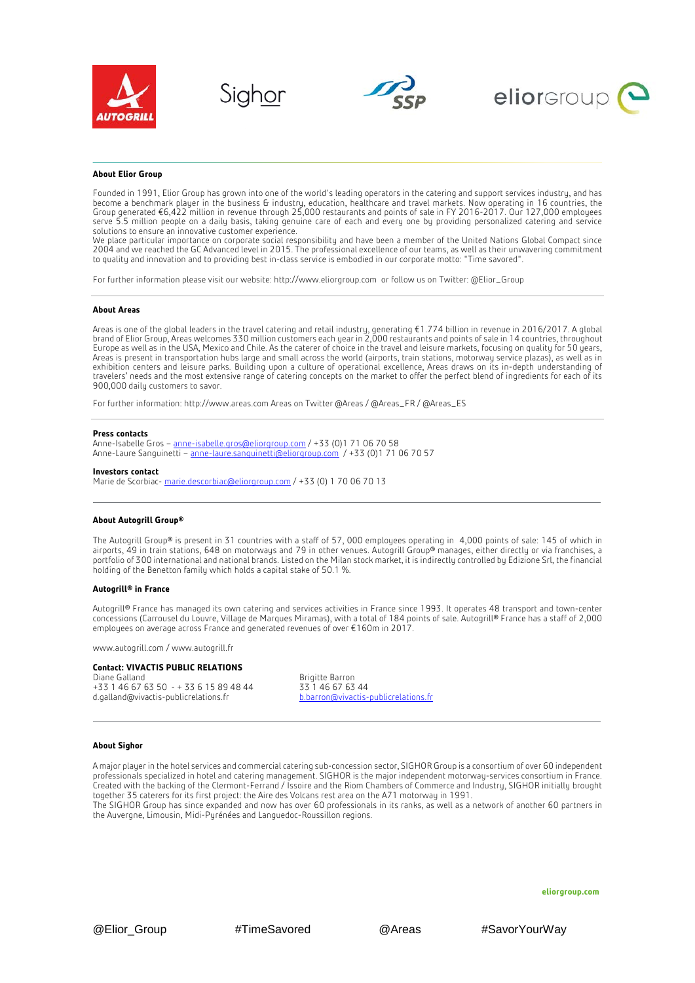







### **About Elior Group**

Founded in 1991, Elior Group has grown into one of the world's leading operators in the catering and support services industry, and has become a benchmark player in the business & industry, education, healthcare and travel markets. Now operating in 16 countries, the Group generated €6,422 million in revenue through 25,000 restaurants and points of sale in FY 2016-2017. Our 127,000 employees serve 5.5 million people on a daily basis, taking genuine care of each and every one by providing personalized catering and service solutions to ensure an innovative customer experience.

We place particular importance on corporate social responsibility and have been a member of the United Nations Global Compact since 2004 and we reached the GC Advanced level in 2015. The professional excellence of our teams, as well as their unwavering commitment to quality and innovation and to providing best in-class service is embodied in our corporate motto: "Time savored".

For further information please visit our website[: http://www.eliorgroup.com](http://www.eliorgroup.com/) or follow us on Twitter[: @Elior\\_Group](https://twitter.com/Elior_Group)

#### **About Areas**

Areas is one of the global leaders in the travel catering and retail industry, generating €1.774 billion in revenue in 2016/2017. A global brand of Elior Group, Areas welcomes 330 million customers each year in 2,000 restaurants and points of sale in 14 countries, throughout Europe as well as in the USA, Mexico and Chile. As the caterer of choice in the travel and leisure markets, focusing on quality for 50 years, Areas is present in transportation hubs large and small across the world (airports, train stations, motorway service plazas), as well as in exhibition centers and leisure parks. Building upon a culture of operational excellence, Areas draws on its in-depth understanding of travelers' needs and the most extensive range of catering concepts on the market to offer the perfect blend of ingredients for each of its 900,000 daily customers to savor.

For further information: http://www.areas.com Areas on Twitter @Areas / @Areas\_FR / @Areas\_ES

#### **Press contacts**

Anne-Isabelle Gros – [anne-isabelle.gros@eliorgroup.com](mailto:anne-isabelle.gros@eliorgroup.com) / +33 (0)1 71 06 70 58 Anne-Laure Sanguinetti – <u>anne-laure.sanguinetti@eliorgroup.com</u> /+33 (0)1 71 06 70 57

#### **Investors contact**

Marie de Scorbiac- [marie.descorbiac@eliorgroup.com](mailto:marie.descorbiac@eliorgroup.com) / +33 (0) 1 70 06 70 13

#### **About Autogrill Group®**

The Autogrill Group® is present in 31 countries with a staff of 57, 000 employees operating in 4,000 points of sale: 145 of which in airports, 49 in train stations, 648 on motorways and 79 in other venues. Autogrill Group® manages, either directly or via franchises, a portfolio of 300 international and national brands. Listed on the Milan stock market, it is indirectly controlled by Edizione Srl, the financial holding of the Benetton family which holds a capital stake of 50.1 %.

#### **Autogrill® in France**

Autogrill® France has managed its own catering and services activities in France since 1993. It operates 48 transport and town-center concessions (Carrousel du Louvre, Village de Marques Miramas), with a total of 184 points of sale. Autogrill® France has a staff of 2,000 employees on average across France and generated revenues of over €160m in 2017.

www.autogrill.com / www.autogrill.fr

# **Contact: VIVACTIS PUBLIC RELATIONS**

Diane Galland Brigitte Barron +33 1 46 67 63 50 - + 33 6 15 89 48 44 33 1 46 67 63 44<br>d.galland@vivactis-publicrelations.fr bbdron@vivactis-publicrelations.fr d.galland@vivactis-publicrelations.fr

#### **About Sighor**

A major player in the hotel services and commercial catering sub-concession sector, SIGHOR Group is a consortium of over 60 independent professionals specialized in hotel and catering management. SIGHOR is the major independent motorway-services consortium in France. Created with the backing of the Clermont-Ferrand / Issoire and the Riom Chambers of Commerce and Industry, SIGHOR initially brought together 35 caterers for its first project: the Aire des Volcans rest area on the A71 motorway in 1991. The SIGHOR Group has since expanded and now has over 60 professionals in its ranks, as well as a network of another 60 partners in

the Auvergne, Limousin, Midi-Pyrénées and Languedoc-Roussillon regions.